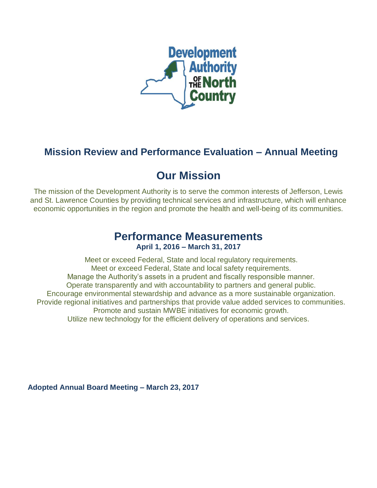

# **Mission Review and Performance Evaluation – Annual Meeting**

# **Our Mission**

The mission of the Development Authority is to serve the common interests of Jefferson, Lewis and St. Lawrence Counties by providing technical services and infrastructure, which will enhance economic opportunities in the region and promote the health and well-being of its communities.

# **Performance Measurements April 1, 2016 – March 31, 2017**

Meet or exceed Federal, State and local regulatory requirements. Meet or exceed Federal, State and local safety requirements. Manage the Authority's assets in a prudent and fiscally responsible manner. Operate transparently and with accountability to partners and general public. Encourage environmental stewardship and advance as a more sustainable organization. Provide regional initiatives and partnerships that provide value added services to communities. Promote and sustain MWBE initiatives for economic growth. Utilize new technology for the efficient delivery of operations and services.

**Adopted Annual Board Meeting – March 23, 2017**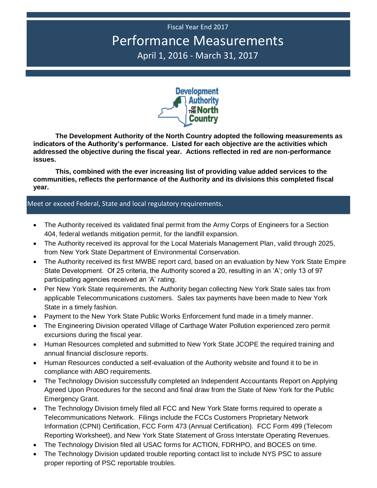# Fiscal Year End 2017 Performance Measurements April 1, 2016 - March 31, 2017



**The Development Authority of the North Country adopted the following measurements as indicators of the Authority's performance. Listed for each objective are the activities which addressed the objective during the fiscal year. Actions reflected in red are non-performance issues.**

**This, combined with the ever increasing list of providing value added services to the communities, reflects the performance of the Authority and its divisions this completed fiscal year.**

#### Meet or exceed Federal, State and local regulatory requirements.

- The Authority received its validated final permit from the Army Corps of Engineers for a Section 404, federal wetlands mitigation permit, for the landfill expansion.
- The Authority received its approval for the Local Materials Management Plan, valid through 2025, from New York State Department of Environmental Conservation.
- The Authority received its first MWBE report card, based on an evaluation by New York State Empire State Development. Of 25 criteria, the Authority scored a 20, resulting in an 'A'; only 13 of 97 participating agencies received an 'A' rating.
- Per New York State requirements, the Authority began collecting New York State sales tax from applicable Telecommunications customers. Sales tax payments have been made to New York State in a timely fashion.
- Payment to the New York State Public Works Enforcement fund made in a timely manner.
- The Engineering Division operated Village of Carthage Water Pollution experienced zero permit excursions during the fiscal year.
- Human Resources completed and submitted to New York State JCOPE the required training and annual financial disclosure reports.
- Human Resources conducted a self-evaluation of the Authority website and found it to be in compliance with ABO requirements.
- The Technology Division successfully completed an Independent Accountants Report on Applying Agreed Upon Procedures for the second and final draw from the State of New York for the Public Emergency Grant.
- The Technology Division timely filed all FCC and New York State forms required to operate a Telecommunications Network. Filings include the FCCs Customers Proprietary Network Information (CPNI) Certification, FCC Form 473 (Annual Certification). FCC Form 499 (Telecom Reporting Worksheet), and New York State Statement of Gross Interstate Operating Revenues.
- The Technology Division filed all USAC forms for ACTION, FDRHPO, and BOCES on time.
- The Technology Division updated trouble reporting contact list to include NYS PSC to assure proper reporting of PSC reportable troubles.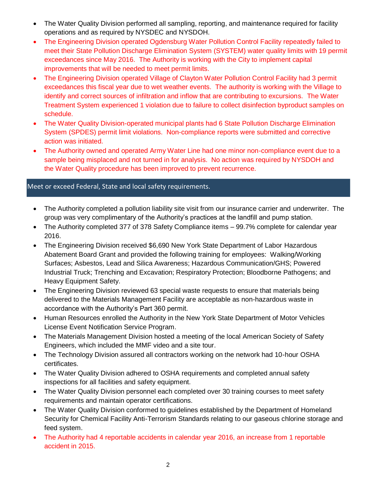- The Water Quality Division performed all sampling, reporting, and maintenance required for facility operations and as required by NYSDEC and NYSDOH.
- The Engineering Division operated Ogdensburg Water Pollution Control Facility repeatedly failed to meet their State Pollution Discharge Elimination System (SYSTEM) water quality limits with 19 permit exceedances since May 2016. The Authority is working with the City to implement capital improvements that will be needed to meet permit limits.
- The Engineering Division operated Village of Clayton Water Pollution Control Facility had 3 permit exceedances this fiscal year due to wet weather events. The authority is working with the Village to identify and correct sources of infiltration and inflow that are contributing to excursions. The Water Treatment System experienced 1 violation due to failure to collect disinfection byproduct samples on schedule.
- The Water Quality Division-operated municipal plants had 6 State Pollution Discharge Elimination System (SPDES) permit limit violations. Non-compliance reports were submitted and corrective action was initiated.
- The Authority owned and operated Army Water Line had one minor non-compliance event due to a sample being misplaced and not turned in for analysis. No action was required by NYSDOH and the Water Quality procedure has been improved to prevent recurrence.

## Meet or exceed Federal, State and local safety requirements.

- The Authority completed a pollution liability site visit from our insurance carrier and underwriter. The group was very complimentary of the Authority's practices at the landfill and pump station.
- The Authority completed 377 of 378 Safety Compliance items 99.7% complete for calendar year 2016.
- The Engineering Division received \$6,690 New York State Department of Labor Hazardous Abatement Board Grant and provided the following training for employees: Walking/Working Surfaces; Asbestos, Lead and Silica Awareness; Hazardous Communication/GHS; Powered Industrial Truck; Trenching and Excavation; Respiratory Protection; Bloodborne Pathogens; and Heavy Equipment Safety.
- The Engineering Division reviewed 63 special waste requests to ensure that materials being delivered to the Materials Management Facility are acceptable as non-hazardous waste in accordance with the Authority's Part 360 permit.
- Human Resources enrolled the Authority in the New York State Department of Motor Vehicles License Event Notification Service Program.
- The Materials Management Division hosted a meeting of the local American Society of Safety Engineers, which included the MMF video and a site tour.
- The Technology Division assured all contractors working on the network had 10-hour OSHA certificates.
- The Water Quality Division adhered to OSHA requirements and completed annual safety inspections for all facilities and safety equipment.
- The Water Quality Division personnel each completed over 30 training courses to meet safety requirements and maintain operator certifications.
- The Water Quality Division conformed to guidelines established by the Department of Homeland Security for Chemical Facility Anti-Terrorism Standards relating to our gaseous chlorine storage and feed system.
- The Authority had 4 reportable accidents in calendar year 2016, an increase from 1 reportable accident in 2015.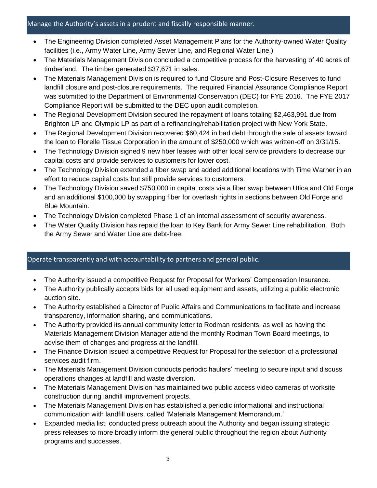#### Manage the Authority's assets in a prudent and fiscally responsible manner.

- The Engineering Division completed Asset Management Plans for the Authority-owned Water Quality facilities (i.e., Army Water Line, Army Sewer Line, and Regional Water Line.)
- The Materials Management Division concluded a competitive process for the harvesting of 40 acres of timberland. The timber generated \$37,671 in sales.
- The Materials Management Division is required to fund Closure and Post-Closure Reserves to fund landfill closure and post-closure requirements. The required Financial Assurance Compliance Report was submitted to the Department of Environmental Conservation (DEC) for FYE 2016. The FYE 2017 Compliance Report will be submitted to the DEC upon audit completion.
- The Regional Development Division secured the repayment of loans totaling \$2,463,991 due from Brighton LP and Olympic LP as part of a refinancing/rehabilitation project with New York State.
- The Regional Development Division recovered \$60,424 in bad debt through the sale of assets toward the loan to Florelle Tissue Corporation in the amount of \$250,000 which was written-off on 3/31/15.
- The Technology Division signed 9 new fiber leases with other local service providers to decrease our capital costs and provide services to customers for lower cost.
- The Technology Division extended a fiber swap and added additional locations with Time Warner in an effort to reduce capital costs but still provide services to customers.
- The Technology Division saved \$750,000 in capital costs via a fiber swap between Utica and Old Forge and an additional \$100,000 by swapping fiber for overlash rights in sections between Old Forge and Blue Mountain.
- The Technology Division completed Phase 1 of an internal assessment of security awareness.
- The Water Quality Division has repaid the loan to Key Bank for Army Sewer Line rehabilitation. Both the Army Sewer and Water Line are debt-free.

### Operate transparently and with accountability to partners and general public.

- The Authority issued a competitive Request for Proposal for Workers' Compensation Insurance.
- The Authority publically accepts bids for all used equipment and assets, utilizing a public electronic auction site.
- The Authority established a Director of Public Affairs and Communications to facilitate and increase transparency, information sharing, and communications.
- The Authority provided its annual community letter to Rodman residents, as well as having the Materials Management Division Manager attend the monthly Rodman Town Board meetings, to advise them of changes and progress at the landfill.
- The Finance Division issued a competitive Request for Proposal for the selection of a professional services audit firm.
- The Materials Management Division conducts periodic haulers' meeting to secure input and discuss operations changes at landfill and waste diversion.
- The Materials Management Division has maintained two public access video cameras of worksite construction during landfill improvement projects.
- The Materials Management Division has established a periodic informational and instructional communication with landfill users, called 'Materials Management Memorandum.'
- Expanded media list, conducted press outreach about the Authority and began issuing strategic press releases to more broadly inform the general public throughout the region about Authority programs and successes.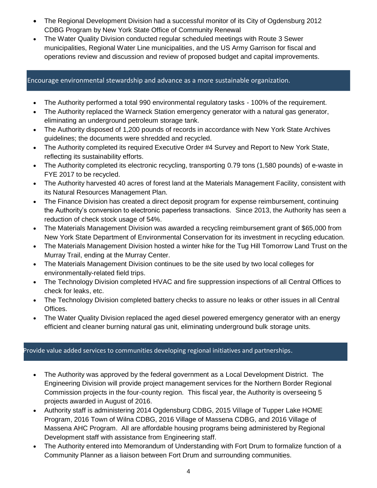- The Regional Development Division had a successful monitor of its City of Ogdensburg 2012 CDBG Program by New York State Office of Community Renewal
- The Water Quality Division conducted regular scheduled meetings with Route 3 Sewer municipalities, Regional Water Line municipalities, and the US Army Garrison for fiscal and operations review and discussion and review of proposed budget and capital improvements.

#### Encourage environmental stewardship and advance as a more sustainable organization.

- The Authority performed a total 990 environmental regulatory tasks 100% of the requirement.
- The Authority replaced the Warneck Station emergency generator with a natural gas generator, eliminating an underground petroleum storage tank.
- The Authority disposed of 1,200 pounds of records in accordance with New York State Archives guidelines; the documents were shredded and recycled.
- The Authority completed its required Executive Order #4 Survey and Report to New York State, reflecting its sustainability efforts.
- The Authority completed its electronic recycling, transporting 0.79 tons (1,580 pounds) of e-waste in FYE 2017 to be recycled.
- The Authority harvested 40 acres of forest land at the Materials Management Facility, consistent with its Natural Resources Management Plan.
- The Finance Division has created a direct deposit program for expense reimbursement, continuing the Authority's conversion to electronic paperless transactions. Since 2013, the Authority has seen a reduction of check stock usage of 54%.
- The Materials Management Division was awarded a recycling reimbursement grant of \$65,000 from New York State Department of Environmental Conservation for its investment in recycling education.
- The Materials Management Division hosted a winter hike for the Tug Hill Tomorrow Land Trust on the Murray Trail, ending at the Murray Center.
- The Materials Management Division continues to be the site used by two local colleges for environmentally-related field trips.
- The Technology Division completed HVAC and fire suppression inspections of all Central Offices to check for leaks, etc.
- The Technology Division completed battery checks to assure no leaks or other issues in all Central Offices.
- The Water Quality Division replaced the aged diesel powered emergency generator with an energy efficient and cleaner burning natural gas unit, eliminating underground bulk storage units.

### Provide value added services to communities developing regional initiatives and partnerships.

- The Authority was approved by the federal government as a Local Development District. The Engineering Division will provide project management services for the Northern Border Regional Commission projects in the four-county region. This fiscal year, the Authority is overseeing 5 projects awarded in August of 2016.
- Authority staff is administering 2014 Ogdensburg CDBG, 2015 Village of Tupper Lake HOME Program, 2016 Town of Wilna CDBG, 2016 Village of Massena CDBG, and 2016 Village of Massena AHC Program. All are affordable housing programs being administered by Regional Development staff with assistance from Engineering staff.
- The Authority entered into Memorandum of Understanding with Fort Drum to formalize function of a Community Planner as a liaison between Fort Drum and surrounding communities.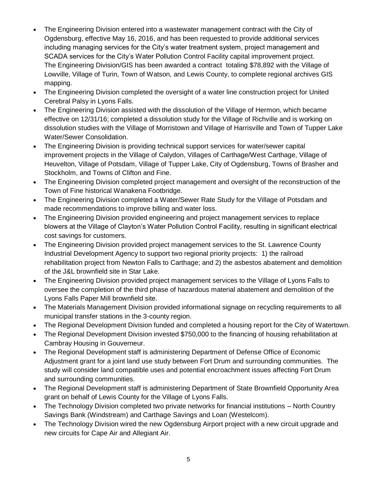- The Engineering Division entered into a wastewater management contract with the City of Ogdensburg, effective May 16, 2016, and has been requested to provide additional services including managing services for the City's water treatment system, project management and SCADA services for the City's Water Pollution Control Facility capital improvement project. The Engineering Division/GIS has been awarded a contract totaling \$78,892 with the Village of Lowville, Village of Turin, Town of Watson, and Lewis County, to complete regional archives GIS mapping.
- The Engineering Division completed the oversight of a water line construction project for United Cerebral Palsy in Lyons Falls.
- The Engineering Division assisted with the dissolution of the Village of Hermon, which became effective on 12/31/16; completed a dissolution study for the Village of Richville and is working on dissolution studies with the Village of Morristown and Village of Harrisville and Town of Tupper Lake Water/Sewer Consolidation.
- The Engineering Division is providing technical support services for water/sewer capital improvement projects in the Village of Calydon, Villages of Carthage/West Carthage, Village of Heuvelton, Village of Potsdam, Village of Tupper Lake, City of Ogdensburg, Towns of Brasher and Stockholm, and Towns of Clifton and Fine.
- The Engineering Division completed project management and oversight of the reconstruction of the Town of Fine historical Wanakena Footbridge.
- The Engineering Division completed a Water/Sewer Rate Study for the Village of Potsdam and made recommendations to improve billing and water loss.
- The Engineering Division provided engineering and project management services to replace blowers at the Village of Clayton's Water Pollution Control Facility, resulting in significant electrical cost savings for customers.
- The Engineering Division provided project management services to the St. Lawrence County Industrial Development Agency to support two regional priority projects: 1) the railroad rehabilitation project from Newton Falls to Carthage; and 2) the asbestos abatement and demolition of the J&L brownfield site in Star Lake.
- The Engineering Division provided project management services to the Village of Lyons Falls to oversee the completion of the third phase of hazardous material abatement and demolition of the Lyons Falls Paper Mill brownfield site.
- The Materials Management Division provided informational signage on recycling requirements to all municipal transfer stations in the 3-county region.
- The Regional Development Division funded and completed a housing report for the City of Watertown.
- The Regional Development Division invested \$750,000 to the financing of housing rehabilitation at Cambray Housing in Gouverneur.
- The Regional Development staff is administering Department of Defense Office of Economic Adjustment grant for a joint land use study between Fort Drum and surrounding communities. The study will consider land compatible uses and potential encroachment issues affecting Fort Drum and surrounding communities.
- The Regional Development staff is administering Department of State Brownfield Opportunity Area grant on behalf of Lewis County for the Village of Lyons Falls.
- The Technology Division completed two private networks for financial institutions North Country Savings Bank (Windstream) and Carthage Savings and Loan (Westelcom).
- The Technology Division wired the new Ogdensburg Airport project with a new circuit upgrade and new circuits for Cape Air and Allegiant Air.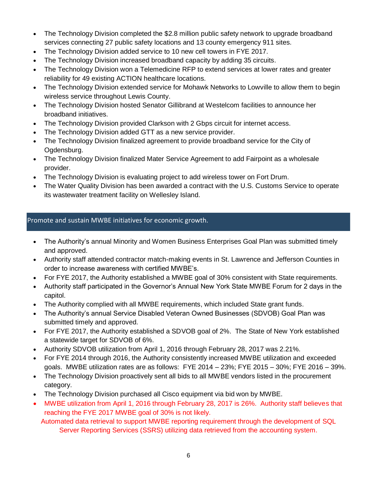- The Technology Division completed the \$2.8 million public safety network to upgrade broadband services connecting 27 public safety locations and 13 county emergency 911 sites.
- The Technology Division added service to 10 new cell towers in FYE 2017.
- The Technology Division increased broadband capacity by adding 35 circuits.
- The Technology Division won a Telemedicine RFP to extend services at lower rates and greater reliability for 49 existing ACTION healthcare locations.
- The Technology Division extended service for Mohawk Networks to Lowville to allow them to begin wireless service throughout Lewis County.
- The Technology Division hosted Senator Gillibrand at Westelcom facilities to announce her broadband initiatives.
- The Technology Division provided Clarkson with 2 Gbps circuit for internet access.
- The Technology Division added GTT as a new service provider.
- The Technology Division finalized agreement to provide broadband service for the City of Ogdensburg.
- The Technology Division finalized Mater Service Agreement to add Fairpoint as a wholesale provider.
- The Technology Division is evaluating project to add wireless tower on Fort Drum.
- The Water Quality Division has been awarded a contract with the U.S. Customs Service to operate its wastewater treatment facility on Wellesley Island.

## Promote and sustain MWBE initiatives for economic growth.

- The Authority's annual Minority and Women Business Enterprises Goal Plan was submitted timely and approved.
- Authority staff attended contractor match-making events in St. Lawrence and Jefferson Counties in order to increase awareness with certified MWBE's.
- For FYE 2017, the Authority established a MWBE goal of 30% consistent with State requirements.
- Authority staff participated in the Governor's Annual New York State MWBE Forum for 2 days in the capitol.
- The Authority complied with all MWBE requirements, which included State grant funds.
- The Authority's annual Service Disabled Veteran Owned Businesses (SDVOB) Goal Plan was submitted timely and approved.
- For FYE 2017, the Authority established a SDVOB goal of 2%. The State of New York established a statewide target for SDVOB of 6%.
- Authority SDVOB utilization from April 1, 2016 through February 28, 2017 was 2.21%.
- For FYE 2014 through 2016, the Authority consistently increased MWBE utilization and exceeded goals. MWBE utilization rates are as follows: FYE 2014 – 23%; FYE 2015 – 30%; FYE 2016 – 39%.
- The Technology Division proactively sent all bids to all MWBE vendors listed in the procurement category.
- The Technology Division purchased all Cisco equipment via bid won by MWBE.
- MWBE utilization from April 1, 2016 through February 28, 2017 is 26%. Authority staff believes that reaching the FYE 2017 MWBE goal of 30% is not likely.

Automated data retrieval to support MWBE reporting requirement through the development of SQL Server Reporting Services (SSRS) utilizing data retrieved from the accounting system.